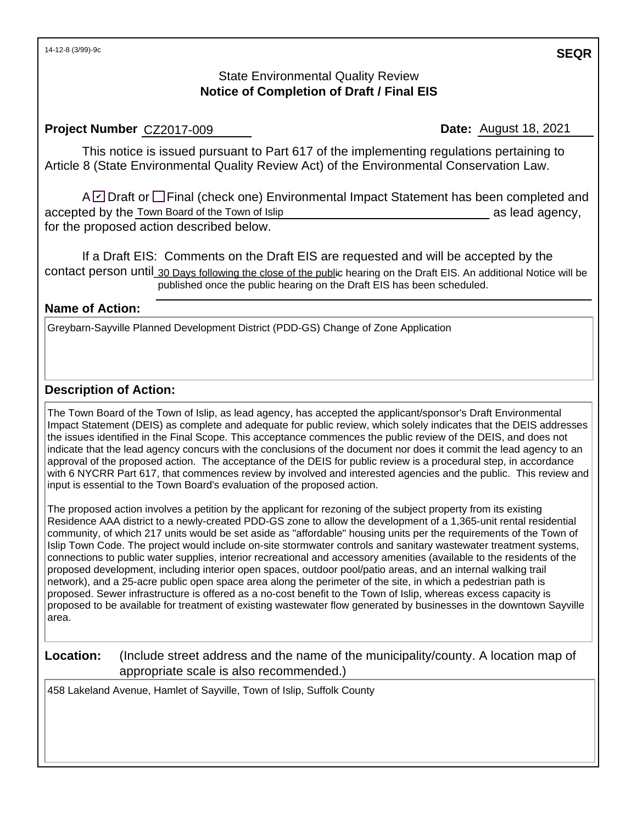## State Environmental Quality Review **Notice of Completion of Draft / Final EIS**

### **Project Number CZ2017-009**

**Date:** August 18, 2021

This notice is issued pursuant to Part 617 of the implementing regulations pertaining to Article 8 (State Environmental Quality Review Act) of the Environmental Conservation Law.

A☑ Draft or □ Final (check one) Environmental Impact Statement has been completed and accepted by the Town Board of the Town of Islip **Example 20** as lead agency, for the proposed action described below.

If a Draft EIS: Comments on the Draft EIS are requested and will be accepted by the contact person until 30 Days following the close of the public hearing on the Draft EIS. An additional Notice will be published once the public hearing on the Draft EIS has been scheduled.

## **Name of Action:**

Greybarn-Sayville Planned Development District (PDD-GS) Change of Zone Application

## **Description of Action:**

The Town Board of the Town of Islip, as lead agency, has accepted the applicant/sponsor's Draft Environmental Impact Statement (DEIS) as complete and adequate for public review, which solely indicates that the DEIS addresses the issues identified in the Final Scope. This acceptance commences the public review of the DEIS, and does not indicate that the lead agency concurs with the conclusions of the document nor does it commit the lead agency to an approval of the proposed action. The acceptance of the DEIS for public review is a procedural step, in accordance with 6 NYCRR Part 617, that commences review by involved and interested agencies and the public. This review and input is essential to the Town Board's evaluation of the proposed action.

The proposed action involves a petition by the applicant for rezoning of the subject property from its existing Residence AAA district to a newly-created PDD-GS zone to allow the development of a 1,365-unit rental residential community, of which 217 units would be set aside as "affordable" housing units per the requirements of the Town of Islip Town Code. The project would include on-site stormwater controls and sanitary wastewater treatment systems, connections to public water supplies, interior recreational and accessory amenities (available to the residents of the proposed development, including interior open spaces, outdoor pool/patio areas, and an internal walking trail network), and a 25-acre public open space area along the perimeter of the site, in which a pedestrian path is proposed. Sewer infrastructure is offered as a no-cost benefit to the Town of Islip, whereas excess capacity is proposed to be available for treatment of existing wastewater flow generated by businesses in the downtown Sayville area.

**Location:** (Include street address and the name of the municipality/county. A location map of appropriate scale is also recommended.)

458 Lakeland Avenue, Hamlet of Sayville, Town of Islip, Suffolk County